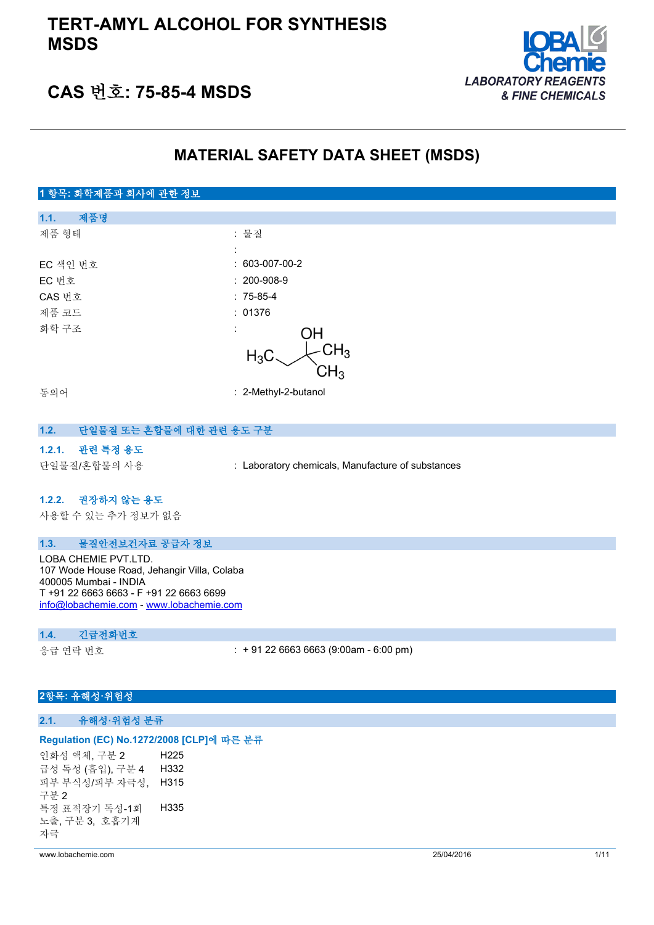## **TERT-AMYL ALCOHOL FOR SYNTHESIS MSDS**



## **CAS 번호: 75-85-4 MSDS**

## **MATERIAL SAFETY DATA SHEET (MSDS)**

## **1 항목: 화학제품과 회사에 관한 정보 1.1. 제품명** 제품 형태 : 기대 : 기대 : 물질 : EC 색인 번호 : 603-007-00-2 EC 번호 : 200-908-9 CAS 번호 : 75-85-4 제품 코드 THE TELE THE TELESCOPE OF THE TELESCOPE OF THE TELESCOPE OF THE TELESCOPE OF THE TELESCOPE OF THE TELESCOPE 화학 구조 : OН  $CH<sub>3</sub>$  $H_3C$  $\mathsf{CH}_3$ 동의어 : 2-Methyl-2-butanol

|--|

#### **1.2.1. 관련 특정 용도**

단일물질/혼합물의 사용 : Laboratory chemicals, Manufacture of substances

#### **1.2.2. 권장하지 않는 용도**

사용할 수 있는 추가 정보가 없음

#### **1.3. 물질안전보건자료 공급자 정보**

LOBA CHEMIE PVT.LTD. 107 Wode House Road, Jehangir Villa, Colaba 400005 Mumbai - INDIA T +91 22 6663 6663 - F +91 22 6663 6699 [info@lobachemie.com](mailto:info@lobachemie.com) - <www.lobachemie.com>

#### **1.4. 긴급전화번호**

응급 연락 번호 : + 91 22 6663 6663 (9:00am - 6:00 pm)

### **2항목: 유해성·위험성**

#### **2.1. 유해성·위험성 분류**

#### **Regulation (EC) No.1272/2008 [CLP]에 따른 분류**

인화성 액체, 구분 2 H225 급성 독성 (흡입), 구분 4 H332 피부 부식성/피부 자극성, 구분 2 H315 특정 표적장기 독성-1회 노출, 구분 3, 호흡기계 자극 H335

www.lobachemie.com 25/04/2016 1/11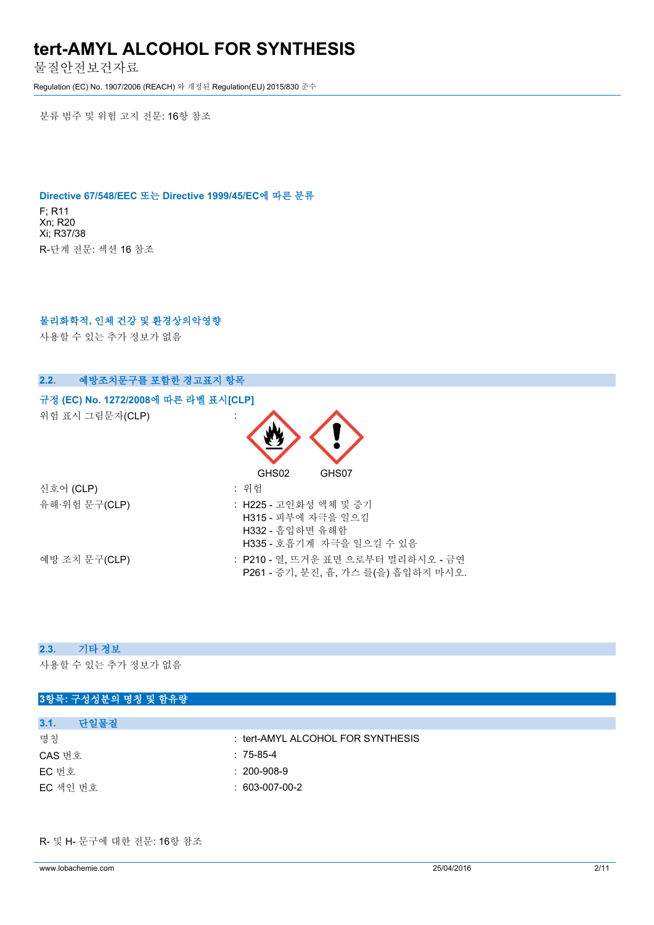물질안전보건자료

Regulation (EC) No. 1907/2006 (REACH) 와 개정된 Regulation(EU) 2015/830 준수

분류 범주 및 위험 고지 전문: 16항 참조

#### **Directive 67/548/EEC 또는 Directive 1999/45/EC에 따른 분류**

F; R11 Xn; R20 Xi; R37/38 R-단계 전문: 섹션 16 참조

#### **물리화학적, 인체 건강 및 환경상의악영향**

사용할 수 있는 추가 정보가 없음

| 예방조치문구를 포함한 경고표지 항목<br>2.2.          |                                                                                            |
|--------------------------------------|--------------------------------------------------------------------------------------------|
| 규정 (EC) No. 1272/2008에 따른 라벨 표시[CLP] |                                                                                            |
| 위험 표시 그림문자(CLP)                      |                                                                                            |
|                                      | GHS02<br>GHS07                                                                             |
| 신호어 (CLP)                            | : 위험                                                                                       |
| 유해·위험 문구(CLP)                        | : H225 - 고인화성 액체 및 증기<br>H315 - 피부에 자극을 일으킴<br>H332 - 흡입하면 유해함<br>H335 - 호흡기계 자극을 일으킬 수 있음 |
| 예방 조치 문구(CLP)                        | : P210 - 열, 뜨거운 표면 으로부터 멀리하시오 - 금연<br>P261 - 증기, 분진, 흄, 가스 를(을) 흡입하지 마시오.                  |

#### **2.3. 기타 정보**

사용할 수 있는 추가 정보가 없음

| 3항목: 구성성분의 명칭 및 함유량 |                                   |
|---------------------|-----------------------------------|
|                     |                                   |
| 단일물질<br>3.1.        |                                   |
| 명칭                  | : tert-AMYL ALCOHOL FOR SYNTHESIS |
| CAS 번호              | $: 75-85-4$                       |
| EC 번호               | $: 200 - 908 - 9$                 |
| EC 색인 번호            | $: 603-007-00-2$                  |
|                     |                                   |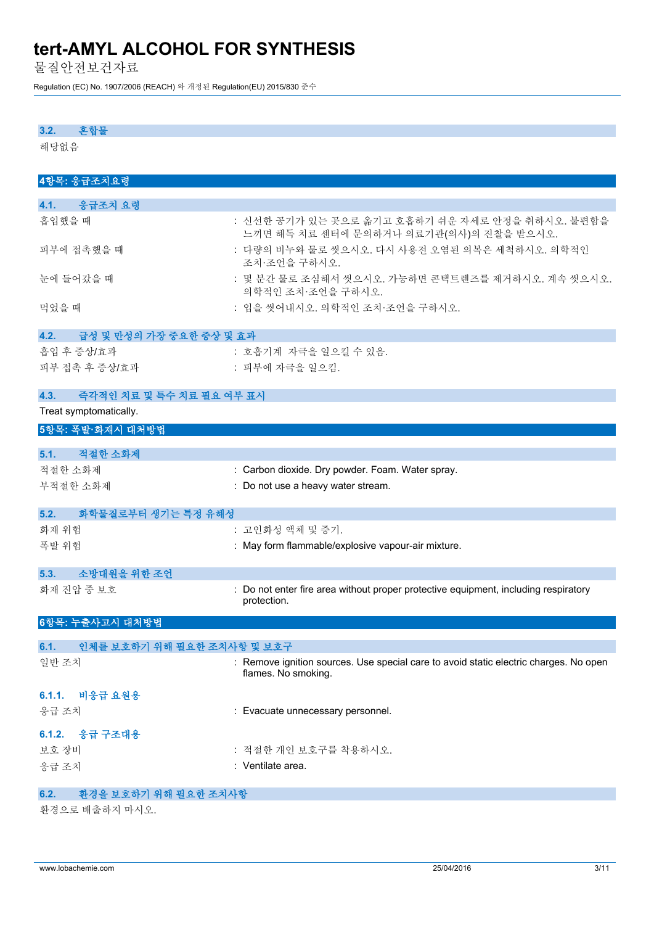물질안전보건자료

Regulation (EC) No. 1907/2006 (REACH) 와 개정된 Regulation(EU) 2015/830 준수

### **3.2. 혼합물**

해당없음

| 4항목: 응급조치요령                        |                                                                                                              |
|------------------------------------|--------------------------------------------------------------------------------------------------------------|
|                                    |                                                                                                              |
| 응급조치 요령<br>4.1.                    |                                                                                                              |
| 흡입했을 때                             | : 신선한 공기가 있는 곳으로 옮기고 호흡하기 쉬운 자세로 안정을 취하시오. 불편함을<br>느끼면 해독 치료 센터에 문의하거나 의료기관(의사)의 진찰을 받으시오.                   |
| 피부에 접촉했을 때                         | : 다량의 비누와 물로 씻으시오. 다시 사용전 오염된 의복은 세척하시오. 의학적인<br>조치·조언을 구하시오.                                                |
| 눈에 들어갔을 때                          | : 몇 분간 물로 조심해서 씻으시오. 가능하면 콘택트렌즈를 제거하시오. 계속 씻으시오.<br>의학적인 조치·조언을 구하시오.                                        |
| 먹었을 때                              | : 입을 씻어내시오. 의학적인 조치 조언을 구하시오.                                                                                |
| 4.2.<br>급성 및 만성의 가장 중요한 중상 및 효과    |                                                                                                              |
| 흡입 후 증상/효과                         | : 호흡기계 자극을 일으킬 수 있음.                                                                                         |
| 피부 접촉 후 증상/효과                      | : 피부에 자극을 일으킴.                                                                                               |
| 즉각적인 치료 및 특수 치료 필요 여부 표시<br>4.3.   |                                                                                                              |
| Treat symptomatically.             |                                                                                                              |
| 5항목: 폭발·화재시 대처방법                   |                                                                                                              |
|                                    |                                                                                                              |
| 5.1.<br>적절한 소화제                    |                                                                                                              |
| 적절한 소화제                            | : Carbon dioxide. Dry powder. Foam. Water spray.                                                             |
| 부적절한 소화제                           | : Do not use a heavy water stream.                                                                           |
| 화학물질로부터 생기는 특정 유해성<br>5.2.         |                                                                                                              |
| 화재 위험                              | : 고인화성 액체 및 증기.                                                                                              |
| 폭발 위험                              | : May form flammable/explosive vapour-air mixture.                                                           |
|                                    |                                                                                                              |
| 소방대원을 위한 조언<br>5.3.                |                                                                                                              |
| 화재 진압 중 보호                         | : Do not enter fire area without proper protective equipment, including respiratory<br>protection.           |
| 6항목: 누출사고시 대처방법                    |                                                                                                              |
| 인체를 보호하기 위해 필요한 조치사항 및 보호구<br>6.1. |                                                                                                              |
| 일반 조치                              | : Remove ignition sources. Use special care to avoid static electric charges. No open<br>flames. No smoking. |
| 6.1.1. 비응급 요원용                     |                                                                                                              |
| 응급 조치                              | : Evacuate unnecessary personnel.                                                                            |
| 6.1.2. 응급 구조대용                     |                                                                                                              |
| 보호 장비                              | : 적절한 개인 보호구를 착용하시오.                                                                                         |
| 응급 조치                              | : Ventilate area.                                                                                            |
|                                    |                                                                                                              |

## **6.2. 환경을 보호하기 위해 필요한 조치사항**

환경으로 배출하지 마시오.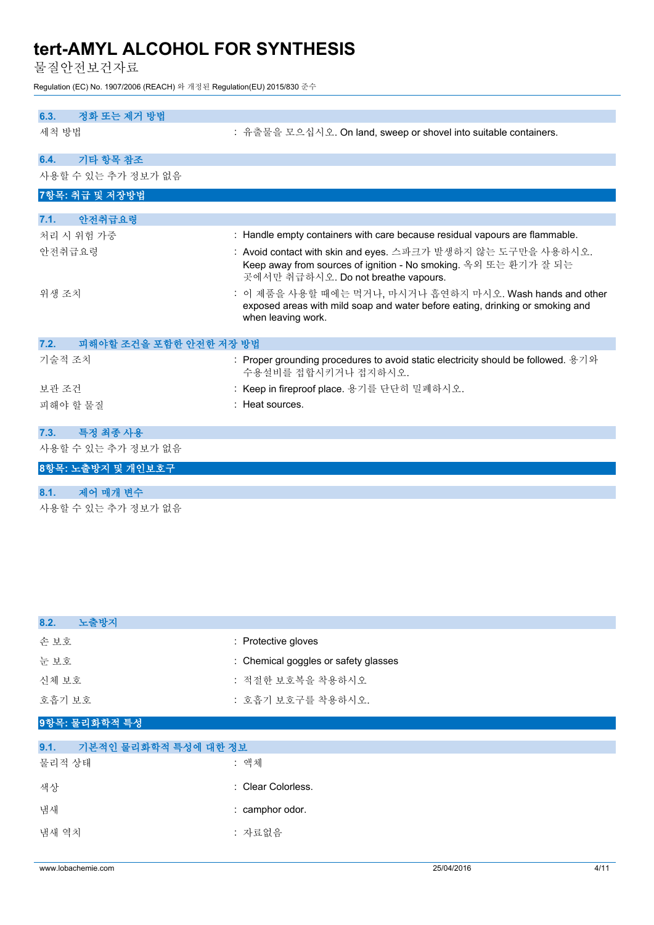물질안전보건자료

Regulation (EC) No. 1907/2006 (REACH) 와 개정된 Regulation(EU) 2015/830 준수

| 6.3.<br>정화 또는 제거 방법            |                                                                                                                                                                        |
|--------------------------------|------------------------------------------------------------------------------------------------------------------------------------------------------------------------|
| 세척 방법                          | : 유출물을 모으십시오. On land, sweep or shovel into suitable containers.                                                                                                       |
| 기타 항목 참조<br>6.4.               |                                                                                                                                                                        |
| 사용할 수 있는 추가 정보가 없음             |                                                                                                                                                                        |
| 7항목: 취급 및 저장방법                 |                                                                                                                                                                        |
| 안전취급요령<br>7.1.                 |                                                                                                                                                                        |
| 처리 시 위험 가중                     | : Handle empty containers with care because residual vapours are flammable.                                                                                            |
| 안전취급요령                         | : Avoid contact with skin and eyes. 스파크가 발생하지 않는 도구만을 사용하시오.<br>Keep away from sources of ignition - No smoking. 옥외 또는 환기가 잘 되는<br>곳에서만 취급하시오. Do not breathe vapours. |
| 위생 조치                          | : 이 제품을 사용할 때에는 먹거나, 마시거나 흡연하지 마시오. Wash hands and other<br>exposed areas with mild soap and water before eating, drinking or smoking and<br>when leaving work.        |
| 7.2.<br>피해야할 조건을 포함한 안전한 저장 방법 |                                                                                                                                                                        |
| 기술적 조치                         | : Proper grounding procedures to avoid static electricity should be followed. $\frac{1}{5}$ ><br>수용설비를 접합시키거나 접지하시오.                                                   |
| 보관 조건                          | : Keep in fireproof place. 용기를 단단히 밀폐하시오.                                                                                                                              |
| 피해야 할 물질                       | : Heat sources.                                                                                                                                                        |
| 특정 최종 사용<br>7.3.               |                                                                                                                                                                        |
| 사용할 수 있는 추가 정보가 없음             |                                                                                                                                                                        |
| 8항목: 노출방지 및 개인보호구              |                                                                                                                                                                        |
| 제어 매개 변수<br>8.1.               |                                                                                                                                                                        |
| 사용할 수 있는 추가 정보가 없음             |                                                                                                                                                                        |

| 8.2.<br>노출방지                 |                                      |
|------------------------------|--------------------------------------|
| 손보호                          | : Protective gloves                  |
| 눈보호                          | : Chemical goggles or safety glasses |
| 신체 보호                        | : 적절한 보호복을 착용하시오                     |
| 호흡기 보호                       | : 호흡기 보호구를 착용하시오.                    |
| 9항목: 물리화학적 특성                |                                      |
|                              |                                      |
| 9.1.<br>기본적인 물리화학적 특성에 대한 정보 |                                      |
| 물리적 상태                       | : 액체                                 |
| 색상                           | : Clear Colorless.                   |

| 냄새 | : camphor odor. |
|----|-----------------|
|    |                 |

냄새 역치 기대 기대 기대 기대 기대 가료없음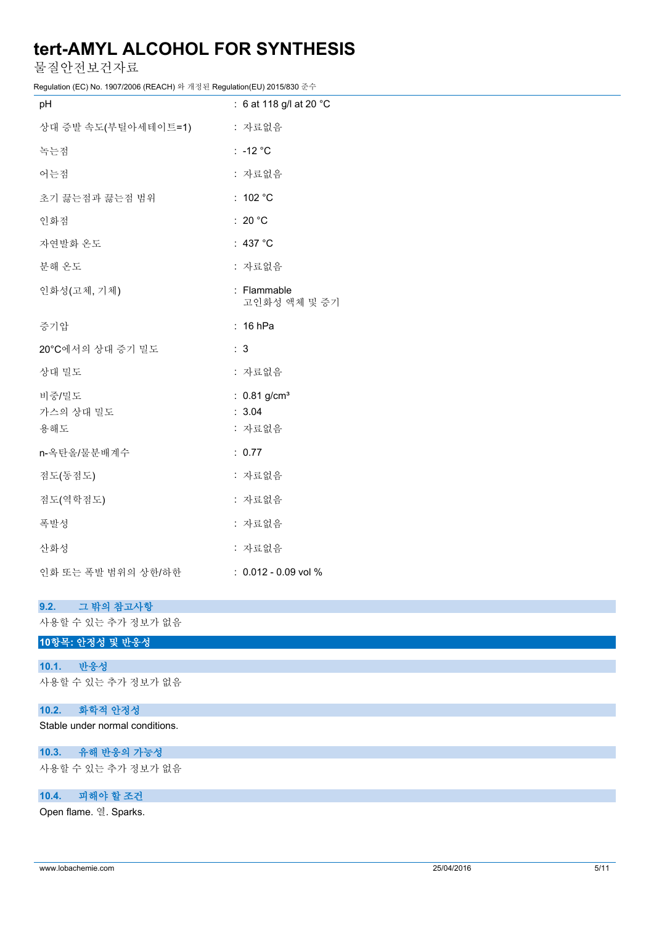물질안전보건자료

Regulation (EC) No. 1907/2006 (REACH) 와 개정된 Regulation(EU) 2015/830 준수

| pH                  | : 6 at 118 g/l at 20 °C     |
|---------------------|-----------------------------|
| 상대 증발 속도(부틸아세테이트=1) | : 자료없음                      |
| 녹는점                 | : -12 $^{\circ}$ C          |
| 어는점                 | : 자료없음                      |
| 초기 끓는점과 끓는점 범위      | : $102 °C$                  |
| 인화점                 | : 20 $^{\circ}$ C           |
| 자연발화 온도             | : 437 °C                    |
| 분해 온도               | : 자료없음                      |
| 인화성(고체, 기체)         | : Flammable<br>고인화성 액체 및 증기 |
| 증기압                 | $: 16$ hPa                  |
| 20°C에서의 상대 증기 밀도    | : 3                         |
| 상대 밀도               | : 자료없음                      |
| 비중/밀도               | : $0.81$ g/cm <sup>3</sup>  |
| 가스의 상대 밀도<br>용해도    | : 3.04<br>: 자료없음            |
| n-옥탄올/물분배계수         | : 0.77                      |
| 점도(동점도)             | : 자료없음                      |
| 점도(역학점도)            | : 자료없음                      |
| 폭발성                 | : 자료없음                      |
| 산화성                 | : 자료없음                      |
| 인화 또는 폭발 범위의 상한/하한  | $: 0.012 - 0.09$ vol %      |

| 9.2. 그 밖의 참고사항                  |
|---------------------------------|
| 사용할 수 있는 추가 정보가 없음              |
| 10항목: 안정성 및 반응성                 |
| 10.1.<br>반응성                    |
| 사용할 수 있는 추가 정보가 없음              |
| 10.2.<br>화학적 안정성                |
| Stable under normal conditions. |
| 10.3. 유해 반응의 가능성                |
| 사용할 수 있는 추가 정보가 없음              |
| 10.4.<br>피해야 할 조건               |

Open flame. 열. Sparks.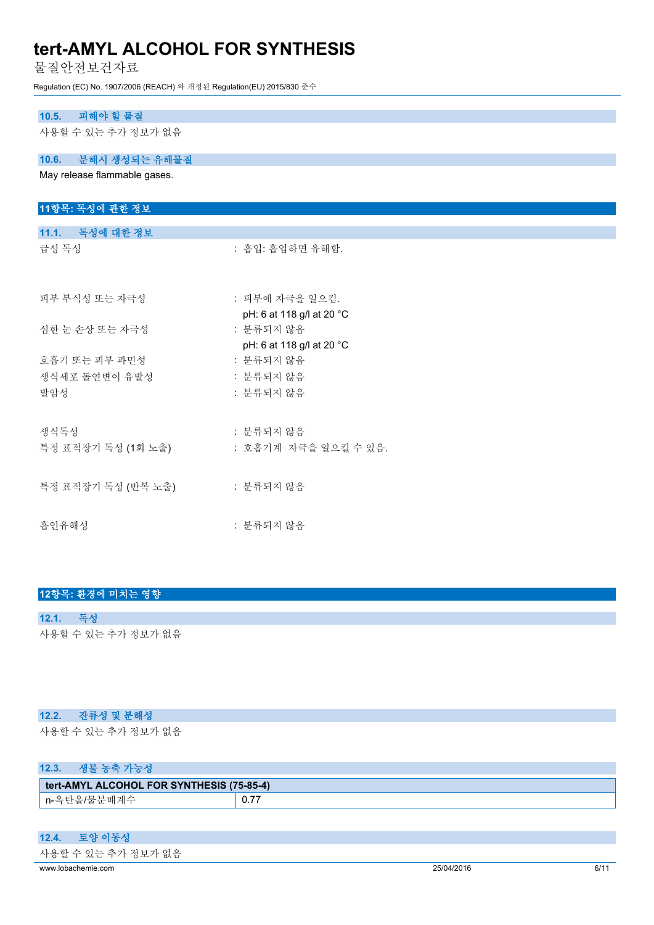물질안전보건자료

Regulation (EC) No. 1907/2006 (REACH) 와 개정된 Regulation(EU) 2015/830 준수

## **10.5. 피해야 할 물질**

사용할 수 있는 추가 정보가 없음

### **10.6. 분해시 생성되는 유해물질**

May release flammable gases.

| 11항목: 독성에 관한 정보                         |                                        |
|-----------------------------------------|----------------------------------------|
|                                         |                                        |
| 11.1. 독성에 대한 정보                         |                                        |
| 급성 독성                                   | : 흡입: 흡입하면 유해함.                        |
| 피부 부식성 또는 자극성                           | : 피부에 자극을 일으킴.                         |
|                                         | pH: 6 at 118 g/l at 20 °C              |
| 심한 눈 손상 또는 자극성                          | : 분류되지 않음<br>pH: 6 at 118 g/l at 20 °C |
| 호흡기 또는 피부 과민성                           | : 분류되지 않음                              |
| 생식세포 돌연변이 유발성                           | : 분류되지 않음                              |
| 발암성                                     | : 분류되지 않음                              |
| 생식독성                                    | : 분류되지 않음                              |
| 특정 표적장기 독성 (1회 노출) : 호흡기계 자극을 일으킬 수 있음. |                                        |
| 특정 표적장기 독성 (반복 노출) : 분류되지 않음            |                                        |
| 흡인유해성                                   | : 분류되지 않음                              |

### **12항목: 환경에 미치는 영향**

## **12.1. 독성** 사용할 수 있는 추가 정보가 없음

### **12.2. 잔류성 및 분해성**

사용할 수 있는 추가 정보가 없음

## **12.3. 생물 농축 가능성**

| tert-AMYL ALCOHOL FOR SYNTHESIS (75-85-4) |      |  |
|-------------------------------------------|------|--|
| n-옥탄올/물분배계수                               | 0.77 |  |

#### **12.4. 토양 이동성**

| 사용할 수 있는 추가 정보가 없음 |  |  |
|--------------------|--|--|
|                    |  |  |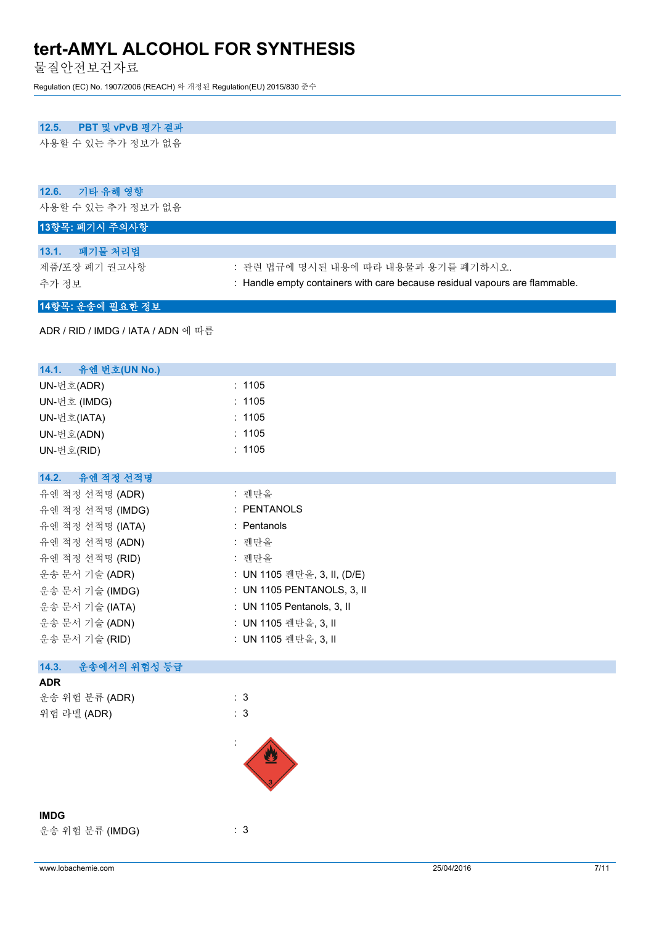물질안전보건자료

Regulation (EC) No. 1907/2006 (REACH) 와 개정된 Regulation(EU) 2015/830 준수

### **12.5. PBT 및 vPvB 평가 결과**

사용할 수 있는 추가 정보가 없음

| 12.6.<br>기타 유해 영향                  |                                                                             |
|------------------------------------|-----------------------------------------------------------------------------|
| 사용할 수 있는 추가 정보가 없음                 |                                                                             |
| 13항목: 폐기시 주의사항                     |                                                                             |
| 폐기물 처리법<br>13.1.                   |                                                                             |
| 제품/포장 폐기 권고사항                      | : 관련 법규에 명시된 내용에 따라 내용물과 용기를 폐기하시오.                                         |
| 추가 정보                              | : Handle empty containers with care because residual vapours are flammable. |
| 14항목: 운송에 필요한 정보                   |                                                                             |
| ADR / RID / IMDG / IATA / ADN 에 따름 |                                                                             |
| 14.1.<br>유엔 번호(UN No.)             |                                                                             |
| UN-번호(ADR)                         | : 1105                                                                      |
| UN-번호 (IMDG)                       | : 1105                                                                      |
| UN-번호(IATA)                        | : 1105                                                                      |
| UN-번호(ADN)                         | : 1105                                                                      |
| UN-번호(RID)                         | : 1105                                                                      |
| 유엔 적정 선적명<br>14.2.                 |                                                                             |
| 유엔 적정 선적명 (ADR)                    | : 펜탄올                                                                       |
| 유엔 적정 선적명 (IMDG)                   | : PENTANOLS                                                                 |
| 유엔 적정 선적명 (IATA)                   | : Pentanols                                                                 |
| 유엔 적정 선적명 (ADN)                    | : 펜탄올                                                                       |
| 유엔 적정 선적명 (RID)                    | : 펜탄올                                                                       |
| 운송 문서 기술 (ADR)                     | : UN 1105 펜탄올, 3, II, (D/E)                                                 |
| 운송 문서 기술 (IMDG)                    | : UN 1105 PENTANOLS, 3, II                                                  |
| 운송 문서 기술 (IATA)                    | : UN 1105 Pentanols, 3, II                                                  |
| 운송 문서 기술 (ADN)                     | : UN 1105 펜탄올, 3, II                                                        |
| 운송 문서 기술 (RID)                     | : UN 1105 펜탄올, 3, II                                                        |
| 운송에서의 위험성 등급<br>14.3.              |                                                                             |
| <b>ADR</b>                         |                                                                             |
| 운송 위험 분류 (ADR)                     | : 3                                                                         |
| 위험 라벨 (ADR)                        | : 3                                                                         |
|                                    |                                                                             |
| <b>IMDG</b>                        |                                                                             |
| 운송 위험 분류 (IMDG)                    | : 3                                                                         |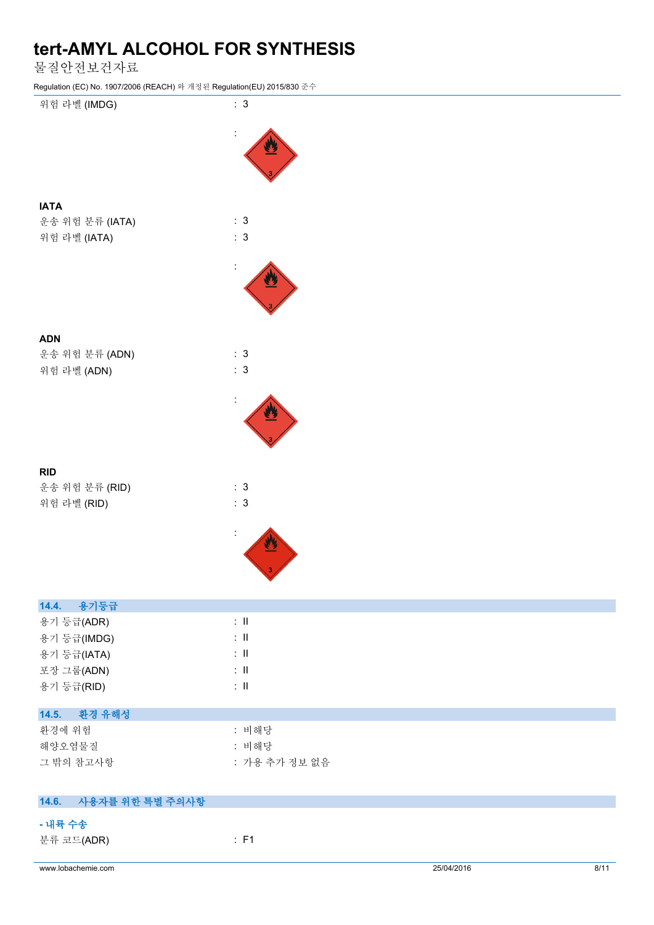물질안전보건자료

Regulation (EC) No. 1907/2006 (REACH) 와 개정된 Regulation(EU) 2015/830 준수



**- 내륙 수송**

분류 코드(ADR) : F1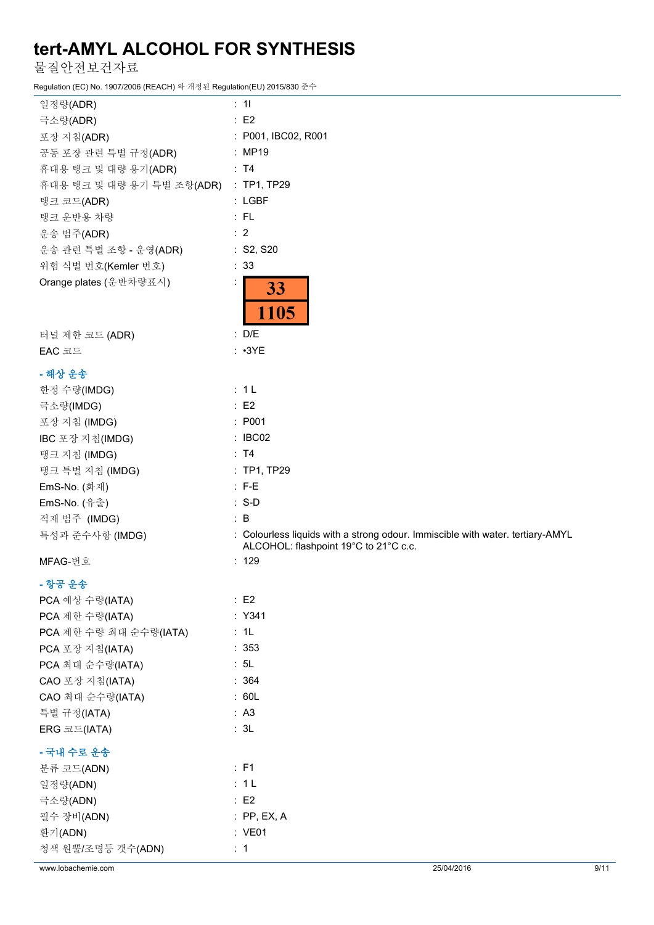물질안전보건자료

Regulation (EC) No. 1907/2006 (REACH) 와 개정된 Regulation(EU) 2015/830 준수

| 일정량(ADR)                              | : 11                                                                           |
|---------------------------------------|--------------------------------------------------------------------------------|
| 극소량(ADR)                              | : E2                                                                           |
| 포장 지침(ADR)                            | : P001, IBC02, R001                                                            |
| 공동 포장 관련 특별 규정(ADR)                   | : MP19                                                                         |
| 휴대용 탱크 및 대량 용기(ADR)                   | : T4                                                                           |
| 휴대용 탱크 및 대량 용기 특별 조항(ADR) : TP1, TP29 |                                                                                |
| 탱크 코드(ADR)                            | : LGBF                                                                         |
| 탱크 운반용 차량                             | $:$ FL                                                                         |
| 운송 범주(ADR)                            | $\therefore$ 2                                                                 |
| 운송 관련 특별 조항 - 운영(ADR)                 | : S2, S20                                                                      |
| 위험 식별 번호(Kemler 번호)                   | : 33                                                                           |
| Orange plates (운반차량표시)                | 33<br>1105                                                                     |
| 터널 제한 코드 (ADR)                        | : D/E                                                                          |
| EAC 코드                                | $: \cdot3YE$                                                                   |
| - 해상 운송                               |                                                                                |
| 한정 수량(IMDG)                           | : 1L                                                                           |
| 극소량(IMDG)                             | $\therefore$ E2                                                                |
| 포장 지침 (IMDG)                          | : P001                                                                         |
| IBC 포장 지침(IMDG)                       | : IBC02                                                                        |
| 탱크 지침 (IMDG)                          | : T4                                                                           |
| 탱크 특별 지침 (IMDG)                       | : TP1, TP29                                                                    |
| EmS-No. (화재)                          | $: F-E$                                                                        |
| EmS-No. (유출)                          | $: S-D$                                                                        |
| 적재 범주 (IMDG)                          | $\therefore$ B                                                                 |
| 특성과 준수사항 (IMDG)                       | : Colourless liquids with a strong odour. Immiscible with water. tertiary-AMYL |
|                                       | ALCOHOL: flashpoint 19°C to 21°C c.c.                                          |
| MFAG-번호                               | : 129                                                                          |
| - 항공 운송                               |                                                                                |
| PCA 예상 수량(IATA)                       | $\therefore$ E2                                                                |
| PCA 제한 수량(IATA)                       | : Y341                                                                         |
| PCA 제한 수량 최대 순수량(IATA)                | : 1L                                                                           |
| PCA 포장 지침(IATA)                       | : 353                                                                          |
| PCA 최대 순수량(IATA)                      | : 5L                                                                           |
| CAO 포장 지침(IATA)                       | : 364                                                                          |
| CAO 최대 순수량(IATA)                      | : 60L                                                                          |
| 특별 규정(IATA)                           | : A3                                                                           |
| ERG 코드(IATA)                          | : 3L                                                                           |
| - 국내 수로 운송                            |                                                                                |
| 분류 코드(ADN)                            | : F1                                                                           |
| 일정량(ADN)                              | : 1L                                                                           |
| 극소량(ADN)                              | $\therefore$ E2                                                                |
| 필수 장비(ADN)                            | $:$ PP, EX, A                                                                  |
| 환기(ADN)                               | : VE01                                                                         |
| 청색 원뿔/조명등 갯수(ADN)                     | $\therefore$ 1                                                                 |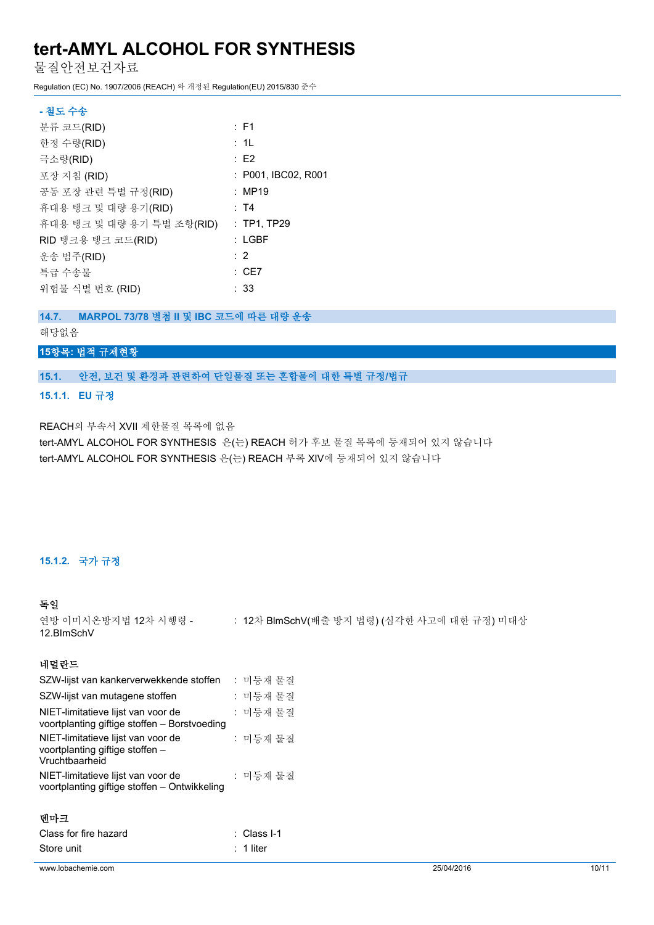물질안전보건자료

Regulation (EC) No. 1907/2006 (REACH) 와 개정된 Regulation(EU) 2015/830 준수

| - 철도 수송                   |                     |
|---------------------------|---------------------|
| 분류 코드(RID)                | $:$ F1              |
| 한정 수량(RID)                | : 1L                |
| 극소량(RID)                  | : E2                |
| 포장 지침 (RID)               | : P001, IBC02, R001 |
| 공동 포장 관련 특별 규정(RID)       | : MP19              |
| 휴대용 탱크 및 대량 용기(RID)       | : T4                |
| 휴대용 탱크 및 대량 용기 특별 조항(RID) | $:$ TP1, TP29       |
| RID 탱크용 탱크 코드(RID)        | $:$ LGBF            |
| 운송 범주(RID)                | : 2                 |
| 특급 수송물                    | $\therefore$ CE7    |
| 위험물 식별 번호 (RID)           | : 33                |

#### **14.7. MARPOL 73/78 별첨 II 및 IBC 코드에 따른 대량 운송**

### 해당없음

## **15항목: 법적 규제현황**

### **15.1. 안전, 보건 및 환경과 관련하여 단일물질 또는 혼합물에 대한 특별 규정/법규**

#### **15.1.1. EU 규정**

REACH의 부속서 XVII 제한물질 목록에 없음

tert-AMYL ALCOHOL FOR SYNTHESIS 은(는) REACH 허가 후보 물질 목록에 등재되어 있지 않습니다 tert-AMYL ALCOHOL FOR SYNTHESIS 은(는) REACH 부록 XIV에 등재되어 있지 않습니다

## **15.1.2. 국가 규정**

#### **독일**

연방 이미시온방지법 12차 시행령 - : 12차 BlmSchV(배출 방지 법령) (심각한 사고에 대한 규정) 미대상 12.BImSchV

#### **네덜란드**

| SZW-lijst van kankerverwekkende stoffen                                                 | : 미등재 물질    |
|-----------------------------------------------------------------------------------------|-------------|
| SZW-lijst van mutagene stoffen                                                          | : 미등재 물질    |
| NIET-limitatieve lijst van voor de<br>voortplanting giftige stoffen - Borstvoeding      | : 미등재 물질    |
| NIET-limitatieve lijst van voor de<br>voortplanting giftige stoffen -<br>Vruchtbaarheid | : 미등재 물질    |
| NIET-limitatieve lijst van voor de<br>voortplanting giftige stoffen - Ontwikkeling      | : 미등재 물질    |
| 덴마크                                                                                     |             |
| Class for fire hazard                                                                   | : Class I-1 |

| Store unit |  |  | : 1 liter |  |  |  |
|------------|--|--|-----------|--|--|--|